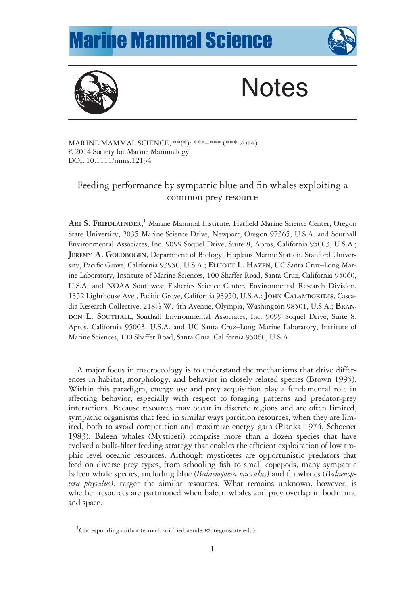## **Marine Mammal Science**





# **Notes**

MARINE MAMMAL SCIENCE, \*\*(\*): \*\*\*–\*\*\* (\*\*\* 2014) © 2014 Society for Marine Mammalogy DOI: 10.1111/mms.12134

## Feeding performance by sympatric blue and fin whales exploiting a common prey resource

ARI S. FRIEDLAENDER,<sup>1</sup> Marine Mammal Institute, Hatfield Marine Science Center, Oregon State University, 2035 Marine Science Drive, Newport, Oregon 97365, U.S.A. and Southall Environmental Associates, Inc. 9099 Soquel Drive, Suite 8, Aptos, California 95003, U.S.A.; JEREMY A. GOLDBOGEN, Department of Biology, Hopkins Marine Station, Stanford University, Pacific Grove, California 93950, U.S.A.; ELLIOTT L. HAZEN, UC Santa Cruz–Long Marine Laboratory, Institute of Marine Sciences, 100 Shaffer Road, Santa Cruz, California 95060, U.S.A. and NOAA Southwest Fisheries Science Center, Environmental Research Division, 1352 Lighthouse Ave., Pacific Grove, California 93950, U.S.A.; JOHN CALAMBOKIDIS, Cascadia Research Collective, 218½ W. 4th Avenue, Olympia, Washington 98501, U.S.A.; BRAN-DON L. SOUTHALL, Southall Environmental Associates, Inc. 9099 Soquel Drive, Suite 8, Aptos, California 95003, U.S.A. and UC Santa Cruz–Long Marine Laboratory, Institute of Marine Sciences, 100 Shaffer Road, Santa Cruz, California 95060, U.S.A.

A major focus in macroecology is to understand the mechanisms that drive differences in habitat, morphology, and behavior in closely related species (Brown 1995). Within this paradigm, energy use and prey acquisition play a fundamental role in affecting behavior, especially with respect to foraging patterns and predator-prey interactions. Because resources may occur in discrete regions and are often limited, sympatric organisms that feed in similar ways partition resources, when they are limited, both to avoid competition and maximize energy gain (Pianka 1974, Schoener 1983). Baleen whales (Mysticeti) comprise more than a dozen species that have evolved a bulk-filter feeding strategy that enables the efficient exploitation of low trophic level oceanic resources. Although mysticetes are opportunistic predators that feed on diverse prey types, from schooling fish to small copepods, many sympatric baleen whale species, including blue (Balaenoptera musculus) and fin whales (Balaenoptera physalus), target the similar resources. What remains unknown, however, is whether resources are partitioned when baleen whales and prey overlap in both time and space.

<sup>&</sup>lt;sup>1</sup>Corresponding author (e-mail: ari.friedlaender@oregonstate.edu).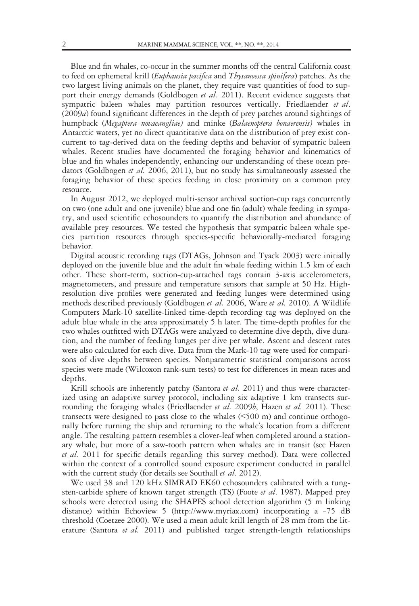Blue and fin whales, co-occur in the summer months off the central California coast to feed on ephemeral krill (Euphausia pacifica and Thysanoessa spinifera) patches. As the two largest living animals on the planet, they require vast quantities of food to support their energy demands (Goldbogen et al. 2011). Recent evidence suggests that sympatric baleen whales may partition resources vertically. Friedlaender et al. (2009a) found significant differences in the depth of prey patches around sightings of humpback (Megaptera novaeangliae) and minke (Balaenoptera bonaerensis) whales in Antarctic waters, yet no direct quantitative data on the distribution of prey exist concurrent to tag-derived data on the feeding depths and behavior of sympatric baleen whales. Recent studies have documented the foraging behavior and kinematics of blue and fin whales independently, enhancing our understanding of these ocean predators (Goldbogen et al. 2006, 2011), but no study has simultaneously assessed the foraging behavior of these species feeding in close proximity on a common prey resource.

In August 2012, we deployed multi-sensor archival suction-cup tags concurrently on two (one adult and one juvenile) blue and one fin (adult) whale feeding in sympatry, and used scientific echosounders to quantify the distribution and abundance of available prey resources. We tested the hypothesis that sympatric baleen whale species partition resources through species-specific behaviorally-mediated foraging behavior.

Digital acoustic recording tags (DTAGs, Johnson and Tyack 2003) were initially deployed on the juvenile blue and the adult fin whale feeding within 1.5 km of each other. These short-term, suction-cup-attached tags contain 3-axis accelerometers, magnetometers, and pressure and temperature sensors that sample at 50 Hz. Highresolution dive profiles were generated and feeding lunges were determined using methods described previously (Goldbogen et al. 2006, Ware et al. 2010). A Wildlife Computers Mark-10 satellite-linked time-depth recording tag was deployed on the adult blue whale in the area approximately 5 h later. The time-depth profiles for the two whales outfitted with DTAGs were analyzed to determine dive depth, dive duration, and the number of feeding lunges per dive per whale. Ascent and descent rates were also calculated for each dive. Data from the Mark-10 tag were used for comparisons of dive depths between species. Nonparametric statistical comparisons across species were made (Wilcoxon rank-sum tests) to test for differences in mean rates and depths.

Krill schools are inherently patchy (Santora et al. 2011) and thus were characterized using an adaptive survey protocol, including six adaptive 1 km transects surrounding the foraging whales (Friedlaender *et al.* 2009*b*, Hazen *et al.* 2011). These transects were designed to pass close to the whales (<500 m) and continue orthogonally before turning the ship and returning to the whale's location from a different angle. The resulting pattern resembles a clover-leaf when completed around a stationary whale, but more of a saw-tooth pattern when whales are in transit (see Hazen et al. 2011 for specific details regarding this survey method). Data were collected within the context of a controlled sound exposure experiment conducted in parallel with the current study (for details see Southall et al. 2012).

We used 38 and 120 kHz SIMRAD EK60 echosounders calibrated with a tungsten-carbide sphere of known target strength (TS) (Foote et al. 1987). Mapped prey schools were detected using the SHAPES school detection algorithm (5 m linking distance) within Echoview 5 [\(http://www.myriax.com\)](http://www.myriax.com) incorporating a –75 dB threshold (Coetzee 2000). We used a mean adult krill length of 28 mm from the literature (Santora et al. 2011) and published target strength-length relationships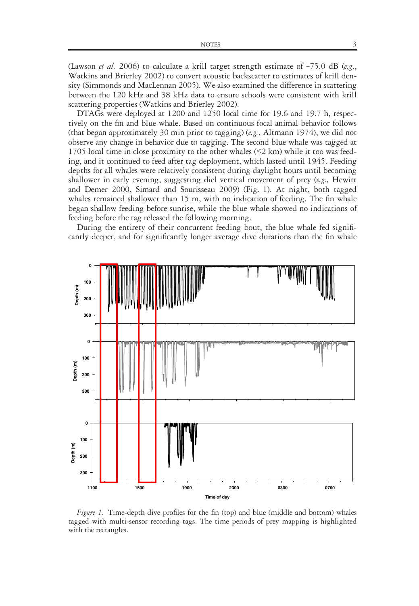(Lawson *et al.* 2006) to calculate a krill target strength estimate of  $-75.0$  dB (*e.g.*, Watkins and Brierley 2002) to convert acoustic backscatter to estimates of krill density (Simmonds and MacLennan 2005). We also examined the difference in scattering between the 120 kHz and 38 kHz data to ensure schools were consistent with krill scattering properties (Watkins and Brierley 2002).

DTAGs were deployed at 1200 and 1250 local time for 19.6 and 19.7 h, respectively on the fin and blue whale. Based on continuous focal animal behavior follows (that began approximately 30 min prior to tagging) (e.g., Altmann 1974), we did not observe any change in behavior due to tagging. The second blue whale was tagged at 1705 local time in close proximity to the other whales (<2 km) while it too was feeding, and it continued to feed after tag deployment, which lasted until 1945. Feeding depths for all whales were relatively consistent during daylight hours until becoming shallower in early evening, suggesting diel vertical movement of prey (e.g., Hewitt and Demer 2000, Simard and Sourisseau 2009) (Fig. 1). At night, both tagged whales remained shallower than 15 m, with no indication of feeding. The fin whale began shallow feeding before sunrise, while the blue whale showed no indications of feeding before the tag released the following morning.

During the entirety of their concurrent feeding bout, the blue whale fed significantly deeper, and for significantly longer average dive durations than the fin whale



Figure 1. Time-depth dive profiles for the fin (top) and blue (middle and bottom) whales tagged with multi-sensor recording tags. The time periods of prey mapping is highlighted with the rectangles.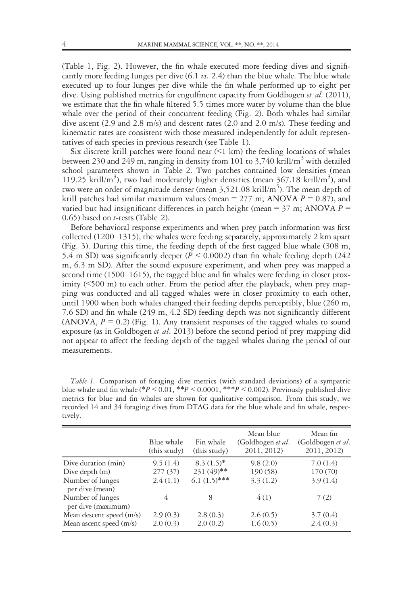(Table 1, Fig. 2). However, the fin whale executed more feeding dives and significantly more feeding lunges per dive  $(6.1 \text{ vs. } 2.4)$  than the blue whale. The blue whale executed up to four lunges per dive while the fin whale performed up to eight per dive. Using published metrics for engulfment capacity from Goldbogen et al. (2011), we estimate that the fin whale filtered 5.5 times more water by volume than the blue whale over the period of their concurrent feeding (Fig. 2). Both whales had similar dive ascent (2.9 and 2.8 m/s) and descent rates (2.0 and 2.0 m/s). These feeding and kinematic rates are consistent with those measured independently for adult representatives of each species in previous research (see Table 1).

Six discrete krill patches were found near  $(1 \text{ km})$  the feeding locations of whales between 230 and 249 m, ranging in density from 101 to 3,740 krill/ $m<sup>3</sup>$  with detailed school parameters shown in Table 2. Two patches contained low densities (mean 119.25 krill/m<sup>3</sup>), two had moderately higher densities (mean  $367.18$  krill/m<sup>3</sup>), and two were an order of magnitude denser (mean  $3,521.08$  krill/m<sup>3</sup>). The mean depth of krill patches had similar maximum values (mean = 277 m; ANOVA  $P = 0.87$ ), and varied but had insignificant differences in patch height (mean =  $37$  m; ANOVA  $P =$ 0.65) based on t-tests (Table 2).

Before behavioral response experiments and when prey patch information was first collected (1200–1315), the whales were feeding separately, approximately 2 km apart (Fig. 3). During this time, the feeding depth of the first tagged blue whale (308 m, 5.4 m SD) was significantly deeper ( $P \le 0.0002$ ) than fin whale feeding depth (242) m, 6.3 m SD). After the sound exposure experiment, and when prey was mapped a second time (1500–1615), the tagged blue and fin whales were feeding in closer proximity (<500 m) to each other. From the period after the playback, when prey mapping was conducted and all tagged whales were in closer proximity to each other, until 1900 when both whales changed their feeding depths perceptibly, blue (260 m, 7.6 SD) and fin whale (249 m, 4.2 SD) feeding depth was not significantly different (ANOVA,  $P = 0.2$ ) (Fig. 1). Any transient responses of the tagged whales to sound exposure (as in Goldbogen et al. 2013) before the second period of prey mapping did not appear to affect the feeding depth of the tagged whales during the period of our measurements.

| <i>Table 1.</i> Comparison of foraging dive metrics (with standard deviations) of a sympatric         |
|-------------------------------------------------------------------------------------------------------|
| blue whale and fin whale $(*P \le 0.01, **P \le 0.0001, **P \le 0.002)$ . Previously published dive   |
| metrics for blue and fin whales are shown for qualitative comparison. From this study, we             |
| recorded 14 and 34 foraging dives from DTAG data for the blue whale and fin whale, respec-<br>tively. |
|                                                                                                       |

|                                        | Blue whale<br>(this study) | Fin whale<br>(this study) | Mean blue<br>(Goldbogen et al.<br>2011, 2012) | Mean fin<br>(Goldbogen et al.<br>2011, 2012) |
|----------------------------------------|----------------------------|---------------------------|-----------------------------------------------|----------------------------------------------|
| Dive duration (min)                    | 9.5(1.4)                   | $8.3(1.5)^*$              | 9.8(2.0)                                      | 7.0(1.4)                                     |
| Dive depth $(m)$                       | 277(37)                    | $231(49)$ **              | 190 (58)                                      | 170 (70)                                     |
| Number of lunges<br>per dive (mean)    | 2.4(1.1)                   | $6.1(1.5)$ ***            | 3.3(1.2)                                      | 3.9(1.4)                                     |
| Number of lunges<br>per dive (maximum) | 4                          | 8                         | 4(1)                                          | 7(2)                                         |
| Mean descent speed (m/s)               | 2.9(0.3)                   | 2.8(0.3)                  | 2.6(0.5)                                      | 3.7(0.4)                                     |
| Mean ascent speed $(m/s)$              | 2.0(0.3)                   | 2.0(0.2)                  | 1.6(0.5)                                      | 2.4(0.3)                                     |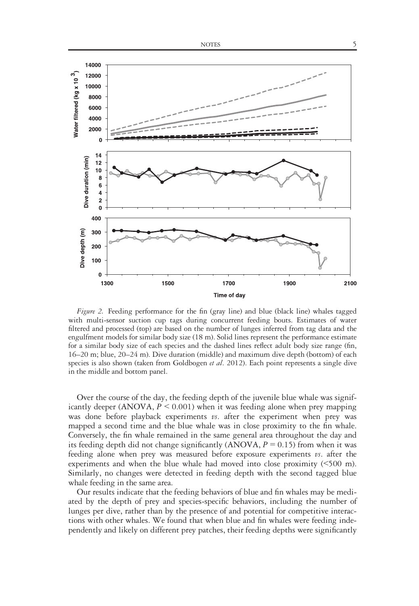

Figure 2. Feeding performance for the fin (gray line) and blue (black line) whales tagged with multi-sensor suction cup tags during concurrent feeding bouts. Estimates of water filtered and processed (top) are based on the number of lunges inferred from tag data and the engulfment models for similar body size (18 m). Solid lines represent the performance estimate for a similar body size of each species and the dashed lines reflect adult body size range (fin, 16–20 m; blue, 20–24 m). Dive duration (middle) and maximum dive depth (bottom) of each species is also shown (taken from Goldbogen et al. 2012). Each point represents a single dive in the middle and bottom panel.

Over the course of the day, the feeding depth of the juvenile blue whale was significantly deeper (ANOVA,  $P \le 0.001$ ) when it was feeding alone when prey mapping was done before playback experiments  $\nu s$ . after the experiment when prey was mapped a second time and the blue whale was in close proximity to the fin whale. Conversely, the fin whale remained in the same general area throughout the day and its feeding depth did not change significantly (ANOVA,  $P = 0.15$ ) from when it was feeding alone when prey was measured before exposure experiments  $\nu s$ , after the experiments and when the blue whale had moved into close proximity (<500 m). Similarly, no changes were detected in feeding depth with the second tagged blue whale feeding in the same area.

Our results indicate that the feeding behaviors of blue and fin whales may be mediated by the depth of prey and species-specific behaviors, including the number of lunges per dive, rather than by the presence of and potential for competitive interactions with other whales. We found that when blue and fin whales were feeding independently and likely on different prey patches, their feeding depths were significantly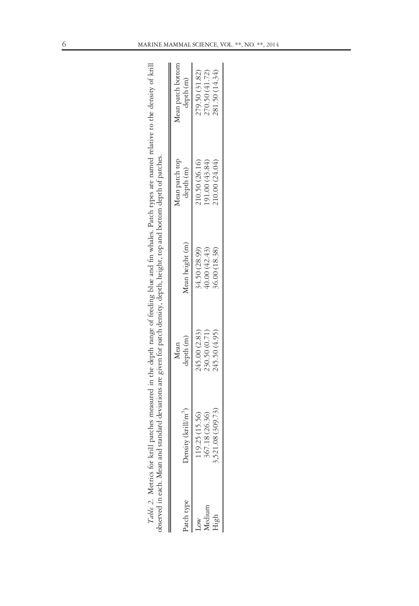| bserved in each. Mean and |                                                  |                                                 | standard deviations are given for patch density, depth, height, top and bottom depth of patches. |                                                   |                                                    |
|---------------------------|--------------------------------------------------|-------------------------------------------------|--------------------------------------------------------------------------------------------------|---------------------------------------------------|----------------------------------------------------|
| atch type                 | Density (krill/m <sup>3</sup> )                  | depth (m)<br>Mean                               | Mean height (m)                                                                                  | Mean patch top<br>depth (m)                       | Mean patch bottom<br>depth (m)                     |
|                           | 3,521.08 (309.73)<br>7.18 (26.36)<br>9.25(15.56) | 245.00 (2.83)<br>245.50 (4.95)<br>230.50 (0.71) | 34.50 (28.99)<br>40.00 (42.43)<br>36.00 (18.38)                                                  | 10.50 (26.16)<br>191.00 (43.84)<br>210.00 (24.04) | 281.50 (14.34)<br>279.50 (31.82)<br>270.50 (41.72) |

Table 2. Metrics for krill patches measured in the depth range of feeding blue and fin whales. Patch types are named relative to the density of krill<br>commad in anch Mann and structured devications are structured and resear Table 2. Metrics for krill patches measured in the depth range of feeding blue and fin whales. Patch types are named relative to the density of krill observed in each. Mean and standard deviations are given for patch density, depth, height, top and bottom depth of patches. J.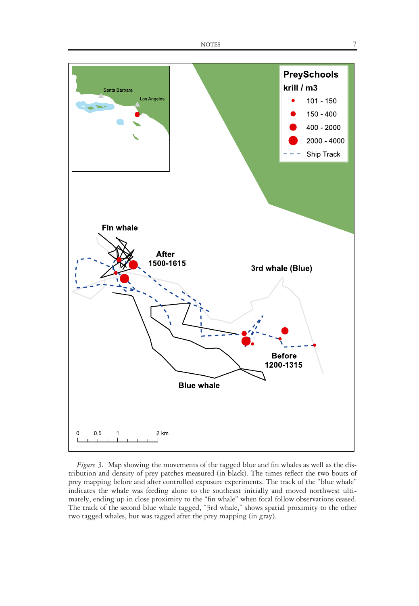

Figure 3. Map showing the movements of the tagged blue and fin whales as well as the distribution and density of prey patches measured (in black). The times reflect the two bouts of prey mapping before and after controlled exposure experiments. The track of the "blue whale" indicates the whale was feeding alone to the southeast initially and moved northwest ultimately, ending up in close proximity to the "fin whale" when focal follow observations ceased. The track of the second blue whale tagged, "3rd whale," shows spatial proximity to the other two tagged whales, but was tagged after the prey mapping (in gray).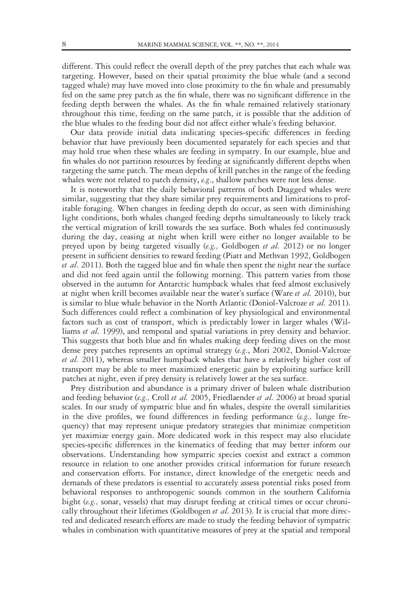different. This could reflect the overall depth of the prey patches that each whale was targeting. However, based on their spatial proximity the blue whale (and a second tagged whale) may have moved into close proximity to the fin whale and presumably fed on the same prey patch as the fin whale, there was no significant difference in the feeding depth between the whales. As the fin whale remained relatively stationary throughout this time, feeding on the same patch, it is possible that the addition of the blue whales to the feeding bout did not affect either whale's feeding behavior.

Our data provide initial data indicating species-specific differences in feeding behavior that have previously been documented separately for each species and that may hold true when these whales are feeding in sympatry. In our example, blue and fin whales do not partition resources by feeding at significantly different depths when targeting the same patch. The mean depths of krill patches in the range of the feeding whales were not related to patch density, e.g., shallow patches were not less dense.

It is noteworthy that the daily behavioral patterns of both Dtagged whales were similar, suggesting that they share similar prey requirements and limitations to profitable foraging. When changes in feeding depth do occur, as seen with diminishing light conditions, both whales changed feeding depths simultaneously to likely track the vertical migration of krill towards the sea surface. Both whales fed continuously during the day, ceasing at night when krill were either no longer available to be preyed upon by being targeted visually (e.g., Goldbogen et al. 2012) or no longer present in sufficient densities to reward feeding (Piatt and Methvan 1992, Goldbogen et al. 2011). Both the tagged blue and fin whale then spent the night near the surface and did not feed again until the following morning. This pattern varies from those observed in the autumn for Antarctic humpback whales that feed almost exclusively at night when krill becomes available near the water's surface (Ware et al. 2010), but is similar to blue whale behavior in the North Atlantic (Doniol-Valcroze et al. 2011). Such differences could reflect a combination of key physiological and environmental factors such as cost of transport, which is predictably lower in larger whales (Williams et al. 1999), and temporal and spatial variations in prey density and behavior. This suggests that both blue and fin whales making deep feeding dives on the most dense prey patches represents an optimal strategy (e.g., Mori 2002, Doniol-Valcroze et al. 2011), whereas smaller humpback whales that have a relatively higher cost of transport may be able to meet maximized energetic gain by exploiting surface krill patches at night, even if prey density is relatively lower at the sea surface.

Prey distribution and abundance is a primary driver of baleen whale distribution and feeding behavior (e.g., Croll et al. 2005, Friedlaender et al. 2006) at broad spatial scales. In our study of sympatric blue and fin whales, despite the overall similarities in the dive profiles, we found differences in feeding performance  $(e.g.,\;]$  lunge frequency) that may represent unique predatory strategies that minimize competition yet maximize energy gain. More dedicated work in this respect may also elucidate species-specific differences in the kinematics of feeding that may better inform our observations. Understanding how sympatric species coexist and extract a common resource in relation to one another provides critical information for future research and conservation efforts. For instance, direct knowledge of the energetic needs and demands of these predators is essential to accurately assess potential risks posed from behavioral responses to anthropogenic sounds common in the southern California bight (e.g., sonar, vessels) that may disrupt feeding at critical times or occur chronically throughout their lifetimes (Goldbogen et al. 2013). It is crucial that more directed and dedicated research efforts are made to study the feeding behavior of sympatric whales in combination with quantitative measures of prey at the spatial and temporal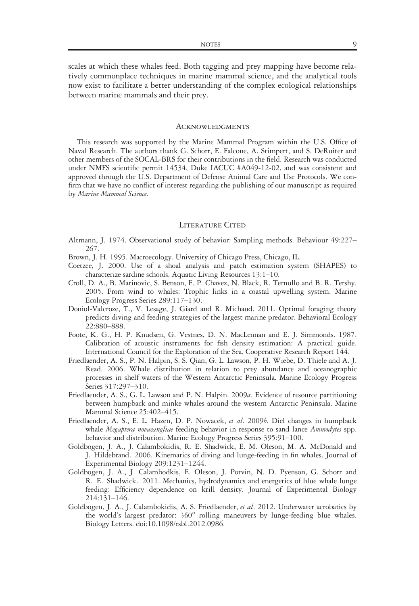scales at which these whales feed. Both tagging and prey mapping have become relatively commonplace techniques in marine mammal science, and the analytical tools now exist to facilitate a better understanding of the complex ecological relationships between marine mammals and their prey.

### **ACKNOWLEDGMENTS**

This research was supported by the Marine Mammal Program within the U.S. Office of Naval Research. The authors thank G. Schorr, E. Falcone, A. Stimpert, and S. DeRuiter and other members of the SOCAL-BRS for their contributions in the field. Research was conducted under NMFS scientific permit 14534, Duke IACUC #A049-12-02, and was consistent and approved through the U.S. Department of Defense Animal Care and Use Protocols. We confirm that we have no conflict of interest regarding the publishing of our manuscript as required by Marine Mammal Science.

#### LITERATURE CITED

- Altmann, J. 1974. Observational study of behavior: Sampling methods. Behaviour 49:227– 267.
- Brown, J. H. 1995. Macroecology. University of Chicago Press, Chicago, IL.
- Coetzee, J. 2000. Use of a shoal analysis and patch estimation system (SHAPES) to characterize sardine schools. Aquatic Living Resources 13:1–10.
- Croll, D. A., B. Marinovic, S. Benson, F. P. Chavez, N. Black, R. Ternullo and B. R. Tershy. 2005. From wind to whales: Trophic links in a coastal upwelling system. Marine Ecology Progress Series 289:117–130.
- Doniol-Valcroze, T., V. Lesage, J. Giard and R. Michaud. 2011. Optimal foraging theory predicts diving and feeding strategies of the largest marine predator. Behavioral Ecology 22:880–888.
- Foote, K. G., H. P. Knudsen, G. Vestnes, D. N. MacLennan and E. J. Simmonds. 1987. Calibration of acoustic instruments for fish density estimation: A practical guide. International Council for the Exploration of the Sea, Cooperative Research Report 144.
- Friedlaender, A. S., P. N. Halpin, S. S. Qian, G. L. Lawson, P. H. Wiebe, D. Thiele and A. J. Read. 2006. Whale distribution in relation to prey abundance and oceanographic processes in shelf waters of the Western Antarctic Peninsula. Marine Ecology Progress Series 317:297–310.
- Friedlaender, A. S., G. L. Lawson and P. N. Halpin. 2009a. Evidence of resource partitioning between humpback and minke whales around the western Antarctic Peninsula. Marine Mammal Science 25:402–415.
- Friedlaender, A. S., E. L. Hazen, D. P. Nowacek, et al. 2009b. Diel changes in humpback whale Megaptera novaeangliae feeding behavior in response to sand lance Ammodytes spp. behavior and distribution. Marine Ecology Progress Series 395:91–100.
- Goldbogen, J. A., J. Calambokidis, R. E. Shadwick, E. M. Oleson, M. A. McDonald and J. Hildebrand. 2006. Kinematics of diving and lunge-feeding in fin whales. Journal of Experimental Biology 209:1231–1244.
- Goldbogen, J. A., J. Calambodkis, E. Oleson, J. Potvin, N. D. Pyenson, G. Schorr and R. E. Shadwick. 2011. Mechanics, hydrodynamics and energetics of blue whale lunge feeding: Efficiency dependence on krill density. Journal of Experimental Biology 214:131–146.
- Goldbogen, J. A., J. Calambokidis, A. S. Friedlaender, et al. 2012. Underwater acrobatics by the world's largest predator: 360° rolling maneuvers by lunge-feeding blue whales. Biology Letters. doi[:10.1098/rsbl.2012.0986.](info:doi/10.1098/rsbl.2012.0986)